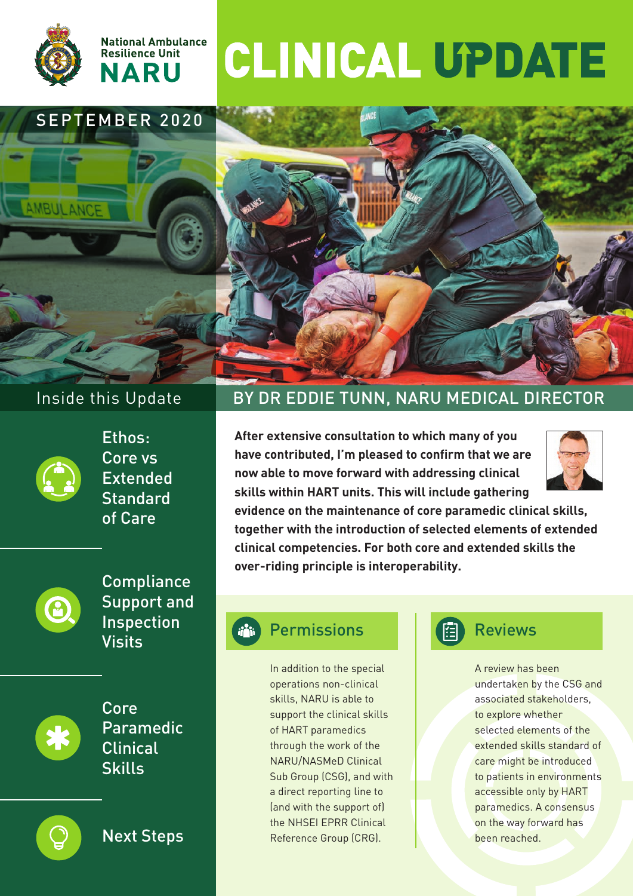

AMBULANCE



# CLINICAL UPDATE

# SEPTEMBER 2020





Ethos: Core vs Extended **Standard** of Care



**Compliance** Support and Inspection Visits





Next Steps

# Inside this Update BY DR EDDIE TUNN, NARU MEDICAL DIRECTOR

**After extensive consultation to which many of you have contributed, I'm pleased to confirm that we are now able to move forward with addressing clinical skills within HART units. This will include gathering**



**evidence on the maintenance of core paramedic clinical skills, together with the introduction of selected elements of extended clinical competencies. For both core and extended skills the over-riding principle is interoperability.**

# Permissions

In addition to the special operations non-clinical skills, NARU is able to support the clinical skills of HART paramedics through the work of the NARU/NASMeD Clinical Sub Group (CSG), and with a direct reporting line to (and with the support of) the NHSEI EPRR Clinical Reference Group (CRG).



# Reviews

A review has been undertaken by the CSG and associated stakeholders, to explore whether selected elements of the extended skills standard of care might be introduced to patients in environments accessible only by HART paramedics. A consensus on the way forward has been reached.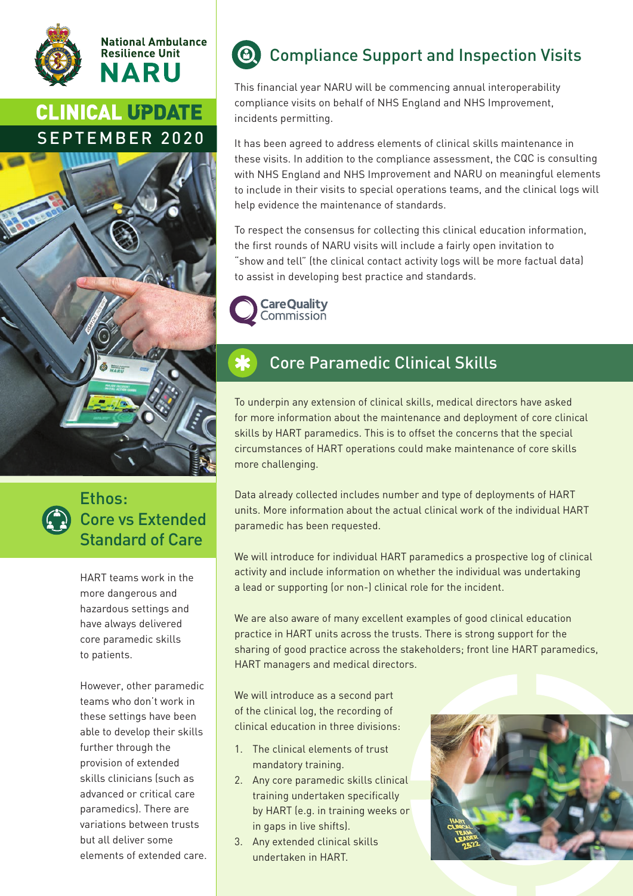



# **CLINICAL UPDATE** SEPTEMBER 2020





# Ethos: Core vs Extended Standard of Care

HART teams work in the more dangerous and hazardous settings and have always delivered core paramedic skills to patients.

However, other paramedic teams who don't work in these settings have been able to develop their skills further through the provision of extended skills clinicians (such as advanced or critical care paramedics). There are variations between trusts but all deliver some elements of extended care.

# Compliance Support and Inspection Visits

This financial year NARU will be commencing annual interoperability compliance visits on behalf of NHS England and NHS Improvement, incidents permitting.

It has been agreed to address elements of clinical skills maintenance in these visits. In addition to the compliance assessment, the CQC is consulting with NHS England and NHS Improvement and NARU on meaningful elements to include in their visits to special operations teams, and the clinical logs will help evidence the maintenance of standards.

To respect the consensus for collecting this clinical education information, the first rounds of NARU visits will include a fairly open invitation to "show and tell" (the clinical contact activity logs will be more factual data) to assist in developing best practice and standards.



# Core Paramedic Clinical Skills

To underpin any extension of clinical skills, medical directors have asked for more information about the maintenance and deployment of core clinical skills by HART paramedics. This is to offset the concerns that the special circumstances of HART operations could make maintenance of core skills more challenging.

Data already collected includes number and type of deployments of HART units. More information about the actual clinical work of the individual HART paramedic has been requested.

We will introduce for individual HART paramedics a prospective log of clinical activity and include information on whether the individual was undertaking a lead or supporting (or non-) clinical role for the incident.

We are also aware of many excellent examples of good clinical education practice in HART units across the trusts. There is strong support for the sharing of good practice across the stakeholders; front line HART paramedics, HART managers and medical directors.

We will introduce as a second part of the clinical log, the recording of clinical education in three divisions:

- 1. The clinical elements of trust mandatory training.
- 2. Any core paramedic skills clinical training undertaken specifically by HART (e.g. in training weeks or in gaps in live shifts).
- 3. Any extended clinical skills undertaken in HART.

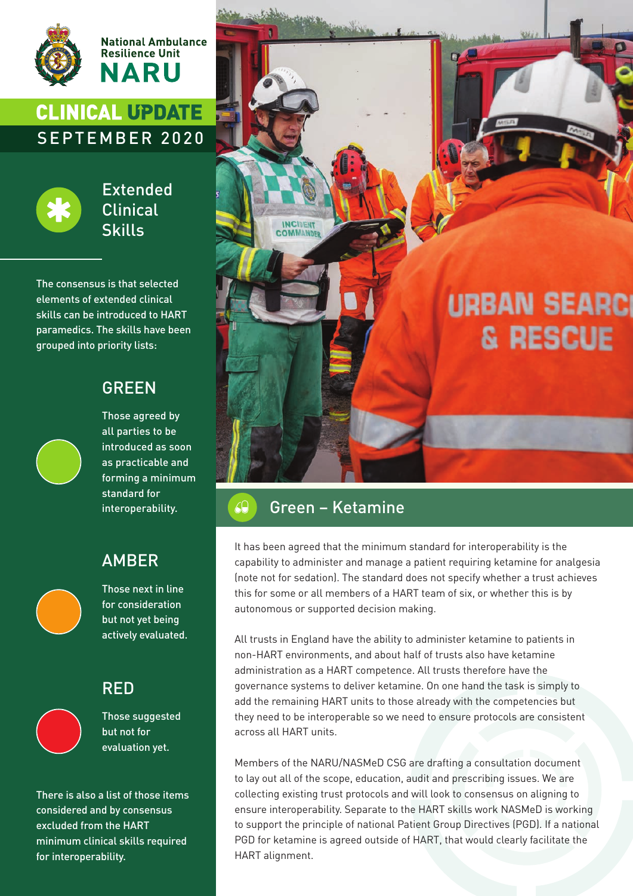

**National Ambulance Resilience Unit NARU** 

# **CLINICAL UPDATE** SEPTEMBER 2020



Extended Clinical Skills

The consensus is that selected elements of extended clinical skills can be introduced to HART paramedics. The skills have been grouped into priority lists:

### GREEN



Those agreed by all parties to be introduced as soon as practicable and forming a minimum standard for interoperability.

### AMBER



Those next in line for consideration but not yet being actively evaluated.

### RED



Those suggested but not for evaluation yet.

There is also a list of those items considered and by consensus excluded from the HART minimum clinical skills required for interoperability.



# Green – Ketamine

It has been agreed that the minimum standard for interoperability is the capability to administer and manage a patient requiring ketamine for analgesia (note not for sedation). The standard does not specify whether a trust achieves this for some or all members of a HART team of six, or whether this is by autonomous or supported decision making.

All trusts in England have the ability to administer ketamine to patients in non-HART environments, and about half of trusts also have ketamine administration as a HART competence. All trusts therefore have the governance systems to deliver ketamine. On one hand the task is simply to add the remaining HART units to those already with the competencies but they need to be interoperable so we need to ensure protocols are consistent across all HART units.

Members of the NARU/NASMeD CSG are drafting a consultation document to lay out all of the scope, education, audit and prescribing issues. We are collecting existing trust protocols and will look to consensus on aligning to ensure interoperability. Separate to the HART skills work NASMeD is working to support the principle of national Patient Group Directives (PGD). If a national PGD for ketamine is agreed outside of HART, that would clearly facilitate the HART alignment.